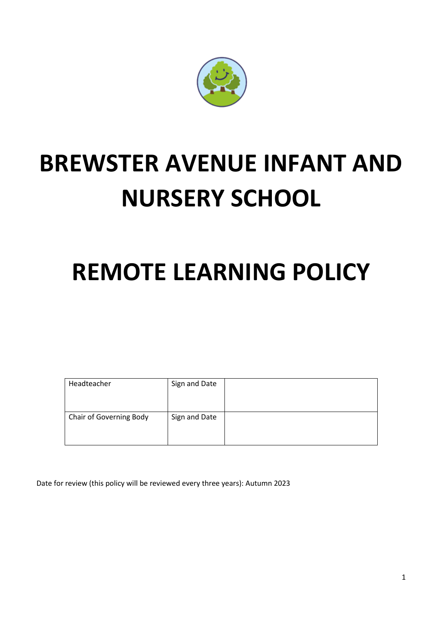

# **BREWSTER AVENUE INFANT AND NURSERY SCHOOL**

## **REMOTE LEARNING POLICY**

| Headteacher             | Sign and Date |  |
|-------------------------|---------------|--|
| Chair of Governing Body | Sign and Date |  |

Date for review (this policy will be reviewed every three years): Autumn 2023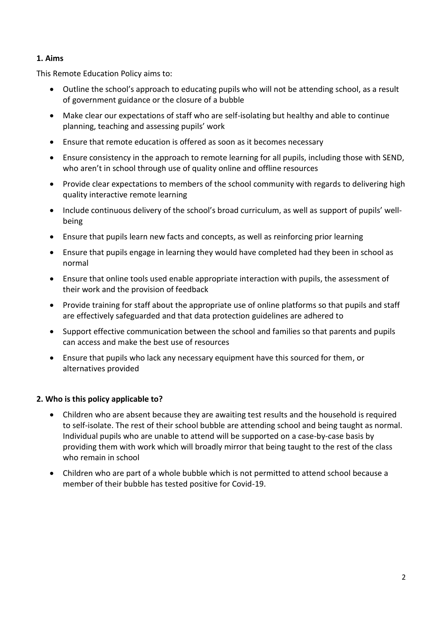## **1. Aims**

This Remote Education Policy aims to:

- Outline the school's approach to educating pupils who will not be attending school, as a result of government guidance or the closure of a bubble
- Make clear our expectations of staff who are self-isolating but healthy and able to continue planning, teaching and assessing pupils' work
- Ensure that remote education is offered as soon as it becomes necessary
- Ensure consistency in the approach to remote learning for all pupils, including those with SEND, who aren't in school through use of quality online and offline resources
- Provide clear expectations to members of the school community with regards to delivering high quality interactive remote learning
- Include continuous delivery of the school's broad curriculum, as well as support of pupils' wellbeing
- Ensure that pupils learn new facts and concepts, as well as reinforcing prior learning
- Ensure that pupils engage in learning they would have completed had they been in school as normal
- Ensure that online tools used enable appropriate interaction with pupils, the assessment of their work and the provision of feedback
- Provide training for staff about the appropriate use of online platforms so that pupils and staff are effectively safeguarded and that data protection guidelines are adhered to
- Support effective communication between the school and families so that parents and pupils can access and make the best use of resources
- Ensure that pupils who lack any necessary equipment have this sourced for them, or alternatives provided

## **2. Who is this policy applicable to?**

- Children who are absent because they are awaiting test results and the household is required to self-isolate. The rest of their school bubble are attending school and being taught as normal. Individual pupils who are unable to attend will be supported on a case-by-case basis by providing them with work which will broadly mirror that being taught to the rest of the class who remain in school
- Children who are part of a whole bubble which is not permitted to attend school because a member of their bubble has tested positive for Covid-19.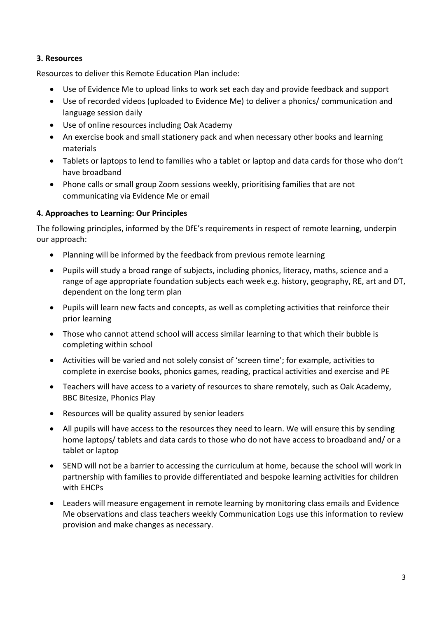## **3. Resources**

Resources to deliver this Remote Education Plan include:

- Use of Evidence Me to upload links to work set each day and provide feedback and support
- Use of recorded videos (uploaded to Evidence Me) to deliver a phonics/ communication and language session daily
- Use of online resources including Oak Academy
- An exercise book and small stationery pack and when necessary other books and learning materials
- Tablets or laptops to lend to families who a tablet or laptop and data cards for those who don't have broadband
- Phone calls or small group Zoom sessions weekly, prioritising families that are not communicating via Evidence Me or email

## **4. Approaches to Learning: Our Principles**

The following principles, informed by the DfE's requirements in respect of remote learning, underpin our approach:

- Planning will be informed by the feedback from previous remote learning
- Pupils will study a broad range of subjects, including phonics, literacy, maths, science and a range of age appropriate foundation subjects each week e.g. history, geography, RE, art and DT, dependent on the long term plan
- Pupils will learn new facts and concepts, as well as completing activities that reinforce their prior learning
- Those who cannot attend school will access similar learning to that which their bubble is completing within school
- Activities will be varied and not solely consist of 'screen time'; for example, activities to complete in exercise books, phonics games, reading, practical activities and exercise and PE
- Teachers will have access to a variety of resources to share remotely, such as Oak Academy, BBC Bitesize, Phonics Play
- Resources will be quality assured by senior leaders
- All pupils will have access to the resources they need to learn. We will ensure this by sending home laptops/ tablets and data cards to those who do not have access to broadband and/ or a tablet or laptop
- SEND will not be a barrier to accessing the curriculum at home, because the school will work in partnership with families to provide differentiated and bespoke learning activities for children with EHCPs
- Leaders will measure engagement in remote learning by monitoring class emails and Evidence Me observations and class teachers weekly Communication Logs use this information to review provision and make changes as necessary.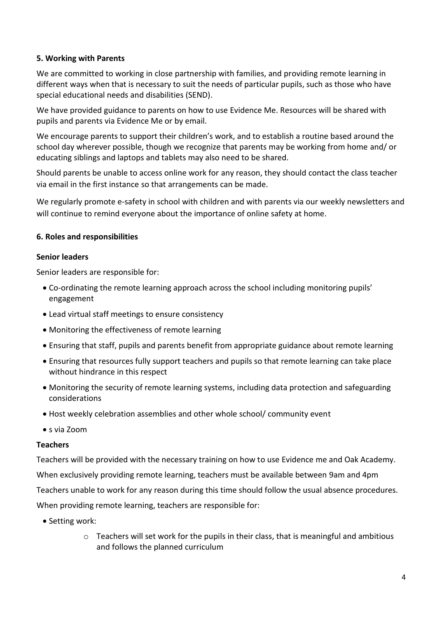## **5. Working with Parents**

We are committed to working in close partnership with families, and providing remote learning in different ways when that is necessary to suit the needs of particular pupils, such as those who have special educational needs and disabilities (SEND).

We have provided guidance to parents on how to use Evidence Me. Resources will be shared with pupils and parents via Evidence Me or by email.

We encourage parents to support their children's work, and to establish a routine based around the school day wherever possible, though we recognize that parents may be working from home and/ or educating siblings and laptops and tablets may also need to be shared.

Should parents be unable to access online work for any reason, they should contact the class teacher via email in the first instance so that arrangements can be made.

We regularly promote e-safety in school with children and with parents via our weekly newsletters and will continue to remind everyone about the importance of online safety at home.

## **6. Roles and responsibilities**

## **Senior leaders**

Senior leaders are responsible for:

- Co-ordinating the remote learning approach across the school including monitoring pupils' engagement
- Lead virtual staff meetings to ensure consistency
- Monitoring the effectiveness of remote learning
- Ensuring that staff, pupils and parents benefit from appropriate guidance about remote learning
- Ensuring that resources fully support teachers and pupils so that remote learning can take place without hindrance in this respect
- Monitoring the security of remote learning systems, including data protection and safeguarding considerations
- Host weekly celebration assemblies and other whole school/ community event
- s via Zoom

## **Teachers**

Teachers will be provided with the necessary training on how to use Evidence me and Oak Academy. When exclusively providing remote learning, teachers must be available between 9am and 4pm Teachers unable to work for any reason during this time should follow the usual absence procedures. When providing remote learning, teachers are responsible for:

- Setting work:
	- o Teachers will set work for the pupils in their class, that is meaningful and ambitious and follows the planned curriculum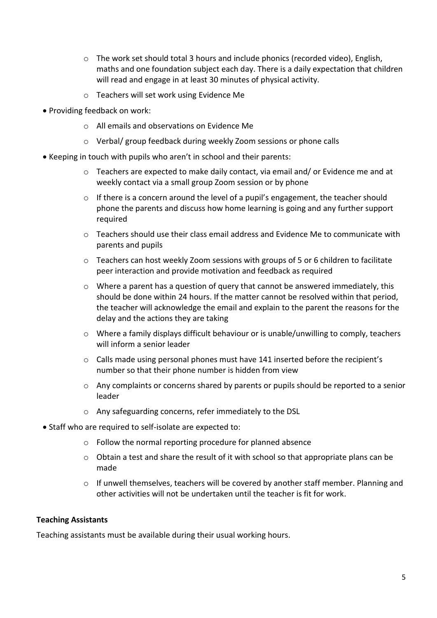- o The work set should total 3 hours and include phonics (recorded video), English, maths and one foundation subject each day. There is a daily expectation that children will read and engage in at least 30 minutes of physical activity.
- o Teachers will set work using Evidence Me
- Providing feedback on work:
	- o All emails and observations on Evidence Me
	- o Verbal/ group feedback during weekly Zoom sessions or phone calls
- Keeping in touch with pupils who aren't in school and their parents:
	- $\circ$  Teachers are expected to make daily contact, via email and/ or Evidence me and at weekly contact via a small group Zoom session or by phone
	- o If there is a concern around the level of a pupil's engagement, the teacher should phone the parents and discuss how home learning is going and any further support required
	- o Teachers should use their class email address and Evidence Me to communicate with parents and pupils
	- o Teachers can host weekly Zoom sessions with groups of 5 or 6 children to facilitate peer interaction and provide motivation and feedback as required
	- o Where a parent has a question of query that cannot be answered immediately, this should be done within 24 hours. If the matter cannot be resolved within that period, the teacher will acknowledge the email and explain to the parent the reasons for the delay and the actions they are taking
	- $\circ$  Where a family displays difficult behaviour or is unable/unwilling to comply, teachers will inform a senior leader
	- $\circ$  Calls made using personal phones must have 141 inserted before the recipient's number so that their phone number is hidden from view
	- $\circ$  Any complaints or concerns shared by parents or pupils should be reported to a senior leader
	- o Any safeguarding concerns, refer immediately to the DSL
- Staff who are required to self-isolate are expected to:
	- o Follow the normal reporting procedure for planned absence
	- $\circ$  Obtain a test and share the result of it with school so that appropriate plans can be made
	- $\circ$  If unwell themselves, teachers will be covered by another staff member. Planning and other activities will not be undertaken until the teacher is fit for work.

#### **Teaching Assistants**

Teaching assistants must be available during their usual working hours.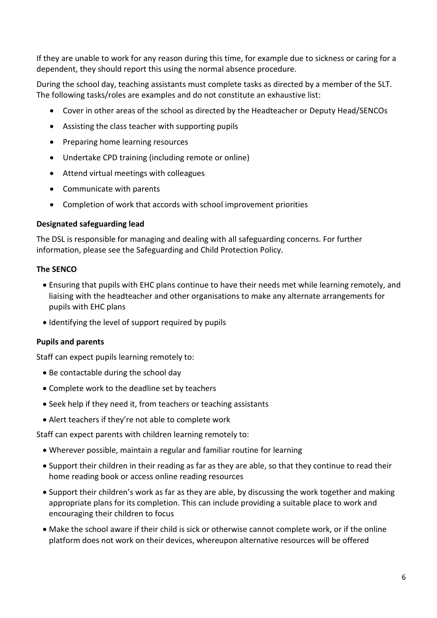If they are unable to work for any reason during this time, for example due to sickness or caring for a dependent, they should report this using the normal absence procedure.

During the school day, teaching assistants must complete tasks as directed by a member of the SLT. The following tasks/roles are examples and do not constitute an exhaustive list:

- Cover in other areas of the school as directed by the Headteacher or Deputy Head/SENCOs
- Assisting the class teacher with supporting pupils
- Preparing home learning resources
- Undertake CPD training (including remote or online)
- Attend virtual meetings with colleagues
- Communicate with parents
- Completion of work that accords with school improvement priorities

## **Designated safeguarding lead**

The DSL is responsible for managing and dealing with all safeguarding concerns. For further information, please see the Safeguarding and Child Protection Policy.

## **The SENCO**

- Ensuring that pupils with EHC plans continue to have their needs met while learning remotely, and liaising with the headteacher and other organisations to make any alternate arrangements for pupils with EHC plans
- Identifying the level of support required by pupils

## **Pupils and parents**

Staff can expect pupils learning remotely to:

- Be contactable during the school day
- Complete work to the deadline set by teachers
- Seek help if they need it, from teachers or teaching assistants
- Alert teachers if they're not able to complete work

Staff can expect parents with children learning remotely to:

- Wherever possible, maintain a regular and familiar routine for learning
- Support their children in their reading as far as they are able, so that they continue to read their home reading book or access online reading resources
- Support their children's work as far as they are able, by discussing the work together and making appropriate plans for its completion. This can include providing a suitable place to work and encouraging their children to focus
- Make the school aware if their child is sick or otherwise cannot complete work, or if the online platform does not work on their devices, whereupon alternative resources will be offered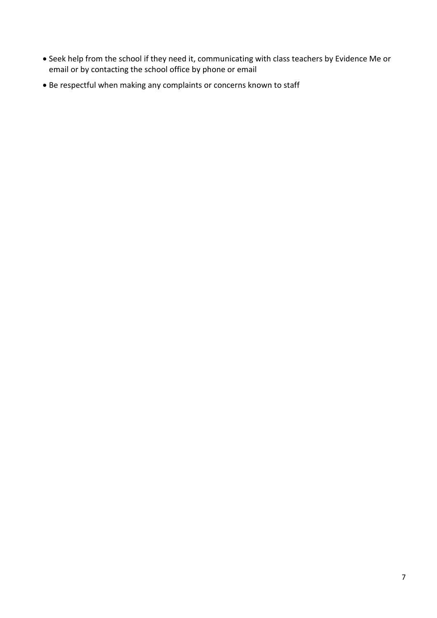- Seek help from the school if they need it, communicating with class teachers by Evidence Me or email or by contacting the school office by phone or email
- Be respectful when making any complaints or concerns known to staff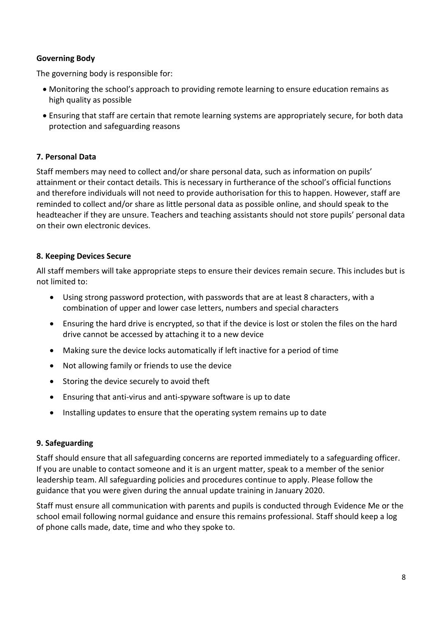## **Governing Body**

The governing body is responsible for:

- Monitoring the school's approach to providing remote learning to ensure education remains as high quality as possible
- Ensuring that staff are certain that remote learning systems are appropriately secure, for both data protection and safeguarding reasons

## **7. Personal Data**

Staff members may need to collect and/or share personal data, such as information on pupils' attainment or their contact details. This is necessary in furtherance of the school's official functions and therefore individuals will not need to provide authorisation for this to happen. However, staff are reminded to collect and/or share as little personal data as possible online, and should speak to the headteacher if they are unsure. Teachers and teaching assistants should not store pupils' personal data on their own electronic devices.

## **8. Keeping Devices Secure**

All staff members will take appropriate steps to ensure their devices remain secure. This includes but is not limited to:

- Using strong password protection, with passwords that are at least 8 characters, with a combination of upper and lower case letters, numbers and special characters
- Ensuring the hard drive is encrypted, so that if the device is lost or stolen the files on the hard drive cannot be accessed by attaching it to a new device
- Making sure the device locks automatically if left inactive for a period of time
- Not allowing family or friends to use the device
- Storing the device securely to avoid theft
- Ensuring that anti-virus and anti-spyware software is up to date
- Installing updates to ensure that the operating system remains up to date

## **9. Safeguarding**

Staff should ensure that all safeguarding concerns are reported immediately to a safeguarding officer. If you are unable to contact someone and it is an urgent matter, speak to a member of the senior leadership team. All safeguarding policies and procedures continue to apply. Please follow the guidance that you were given during the annual update training in January 2020.

Staff must ensure all communication with parents and pupils is conducted through Evidence Me or the school email following normal guidance and ensure this remains professional. Staff should keep a log of phone calls made, date, time and who they spoke to.